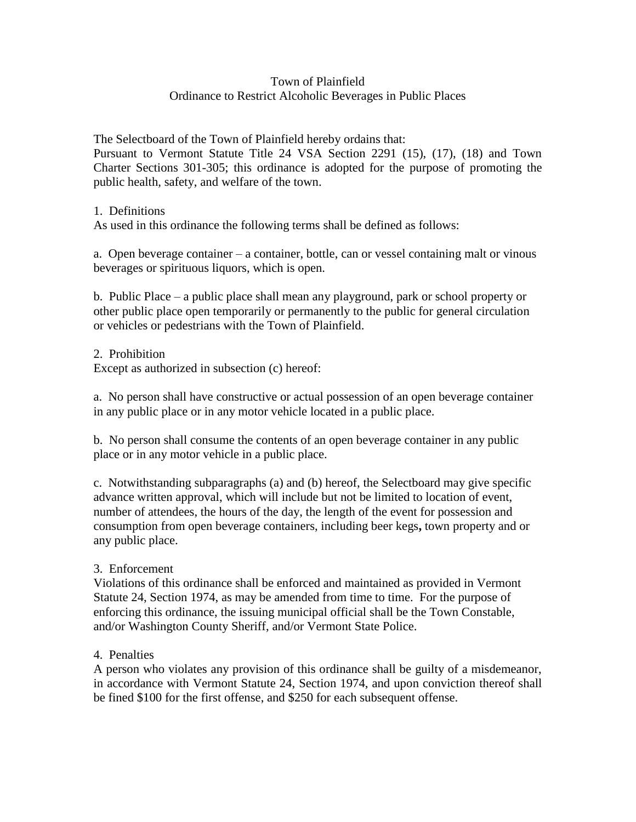## Town of Plainfield Ordinance to Restrict Alcoholic Beverages in Public Places

The Selectboard of the Town of Plainfield hereby ordains that:

Pursuant to Vermont Statute Title 24 VSA Section 2291 (15), (17), (18) and Town Charter Sections 301-305; this ordinance is adopted for the purpose of promoting the public health, safety, and welfare of the town.

1. Definitions

As used in this ordinance the following terms shall be defined as follows:

a. Open beverage container – a container, bottle, can or vessel containing malt or vinous beverages or spirituous liquors, which is open.

b. Public Place – a public place shall mean any playground, park or school property or other public place open temporarily or permanently to the public for general circulation or vehicles or pedestrians with the Town of Plainfield.

2. Prohibition

Except as authorized in subsection (c) hereof:

a. No person shall have constructive or actual possession of an open beverage container in any public place or in any motor vehicle located in a public place.

b. No person shall consume the contents of an open beverage container in any public place or in any motor vehicle in a public place.

c. Notwithstanding subparagraphs (a) and (b) hereof, the Selectboard may give specific advance written approval, which will include but not be limited to location of event, number of attendees, the hours of the day, the length of the event for possession and consumption from open beverage containers, including beer kegs**,** town property and or any public place.

## 3. Enforcement

Violations of this ordinance shall be enforced and maintained as provided in Vermont Statute 24, Section 1974, as may be amended from time to time. For the purpose of enforcing this ordinance, the issuing municipal official shall be the Town Constable, and/or Washington County Sheriff, and/or Vermont State Police.

## 4. Penalties

A person who violates any provision of this ordinance shall be guilty of a misdemeanor, in accordance with Vermont Statute 24, Section 1974, and upon conviction thereof shall be fined \$100 for the first offense, and \$250 for each subsequent offense.